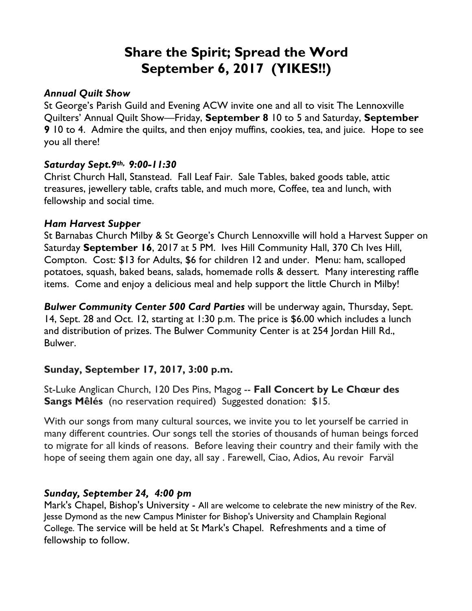# **Share the Spirit; Spread the Word September 6, 2017 (YIKES!!)**

#### *Annual Quilt Show*

St George's Parish Guild and Evening ACW invite one and all to visit The Lennoxville Quilters' Annual Quilt Show—Friday, **September 8** 10 to 5 and Saturday, **September 9** 10 to 4. Admire the quilts, and then enjoy muffins, cookies, tea, and juice. Hope to see you all there!

## *Saturday Sept.9th, 9:00-11:30*

Christ Church Hall, Stanstead. Fall Leaf Fair. Sale Tables, baked goods table, attic treasures, jewellery table, crafts table, and much more, Coffee, tea and lunch, with fellowship and social time.

#### *Ham Harvest Supper*

St Barnabas Church Milby & St George's Church Lennoxville will hold a Harvest Supper on Saturday **September 16**, 2017 at 5 PM. Ives Hill Community Hall, 370 Ch Ives Hill, Compton. Cost: \$13 for Adults, \$6 for children 12 and under. Menu: ham, scalloped potatoes, squash, baked beans, salads, homemade rolls & dessert. Many interesting raffle items. Come and enjoy a delicious meal and help support the little Church in Milby!

*Bulwer Community Center 500 Card Parties* will be underway again, Thursday, Sept. 14, Sept. 28 and Oct. 12, starting at 1:30 p.m. The price is \$6.00 which includes a lunch and distribution of prizes. The Bulwer Community Center is at 254 Jordan Hill Rd., Bulwer.

## **Sunday, September 17, 2017, 3:00 p.m.**

St-Luke Anglican Church, 120 Des Pins, Magog -- **Fall Concert by Le Chœur des Sangs Mêlés** (no reservation required) Suggested donation: \$15.

With our songs from many cultural sources, we invite you to let yourself be carried in many different countries. Our songs tell the stories of thousands of human beings forced to migrate for all kinds of reasons. Before leaving their country and their family with the hope of seeing them again one day, all say . Farewell, Ciao, Adios, Au revoir Farväl

## *Sunday, September 24, 4:00 pm*

Mark's Chapel, Bishop's University - All are welcome to celebrate the new ministry of the Rev. Jesse Dymond as the new Campus Minister for Bishop's University and Champlain Regional College. The service will be held at St Mark's Chapel. Refreshments and a time of fellowship to follow.